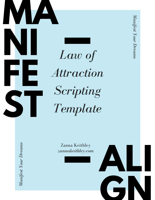

*Law of Attraction Scripting Template*

> Zanna Keithley *zannakeithley.com*

**ALI**

**GN**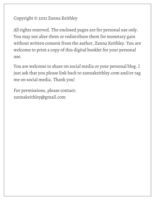#### Copyright © 2021 Zanna Keithley

All rights reserved. The enclosed pages are for personal use only. You may not alter them or redistribute them for monetary gain without written consent from the author, Zanna Keithley. You are welcome to print a copy of this digital booklet for your personal use.

You are welcome to share on social media or your personal blog. I just ask that you please link back to zannakeithley.com and/or tag me on social media. Thank you!

For permissions, please contact: zannakeithley@gmail.com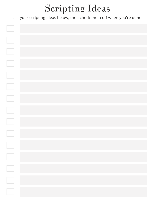# Scripting Ideas

#### List your scripting ideas below, then check them off when you're done!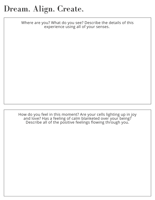Where are you? What do you see? Describe the details of this experience using all of your senses.

How do you feel in this moment? Are your cells lighting up in joy and love? Has a feeling of calm blanketed over your being? Describe all of the positive feelings flowing through you.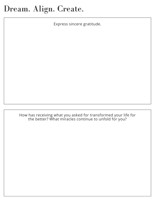Express sincere gratitude.

How has receiving what you asked for transformed your life for the better? What miracles continue to unfold for you?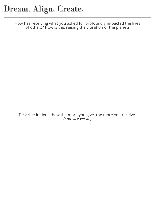How has receiving what you asked for profoundly impacted the lives of others? How is this raising the vibration of the planet?

Describe in detail how the more you give, the more you receive. *(And vice versa.)*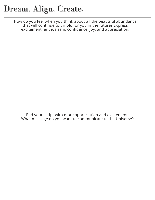How do you feel when you think about all the beautiful abundance that will continue to unfold for you in the future? Express excitement, enthusiasm, confidence, joy, and appreciation.

End your script with more appreciation and excitement. What message do you want to communicate to the Universe?